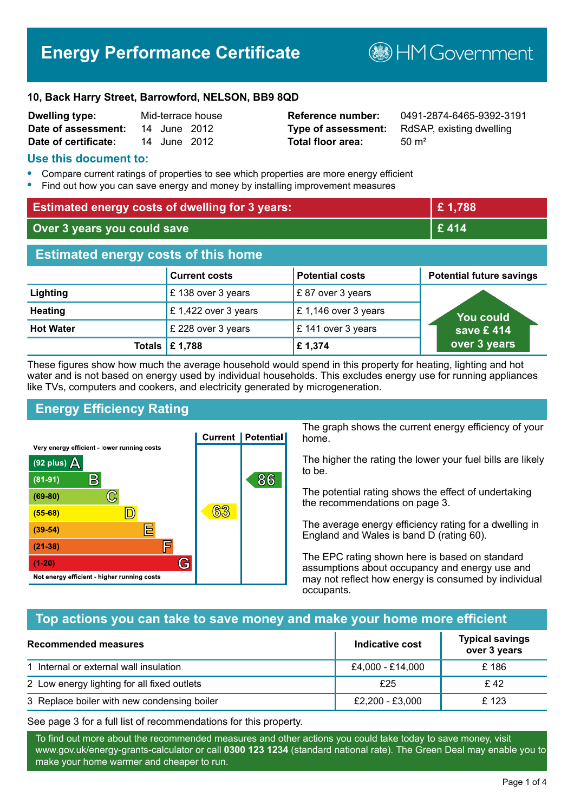# **Energy Performance Certificate**

**B**HM Government

#### **10, Back Harry Street, Barrowford, NELSON, BB9 8QD**

| <b>Dwelling type:</b> |              | Mid-terrace house |
|-----------------------|--------------|-------------------|
| Date of assessment:   | 14 June 2012 |                   |
| Date of certificate:  | 14 June 2012 |                   |

# **Total floor area:** 50 m<sup>2</sup>

**Reference number:** 0491-2874-6465-9392-3191 **Type of assessment:** RdSAP, existing dwelling

#### **Use this document to:**

- **•** Compare current ratings of properties to see which properties are more energy efficient
- **•** Find out how you can save energy and money by installing improvement measures

| <b>Estimated energy costs of dwelling for 3 years:</b> |                                 | £1,788                 |                                 |
|--------------------------------------------------------|---------------------------------|------------------------|---------------------------------|
| Over 3 years you could save                            |                                 | £414                   |                                 |
| <b>Estimated energy costs of this home</b>             |                                 |                        |                                 |
|                                                        | <b>Current costs</b>            | <b>Potential costs</b> | <b>Potential future savings</b> |
| Lighting                                               | £138 over 3 years               | £87 over 3 years       |                                 |
| <b>Heating</b>                                         | £1,422 over 3 years             | £1,146 over 3 years    | You could                       |
| <b>Hot Water</b>                                       | £ 228 over 3 years              | £ 141 over 3 years     | save $£$ 414                    |
|                                                        | Totals $\mathbf \epsilon$ 1,788 | £1,374                 | over 3 years                    |

These figures show how much the average household would spend in this property for heating, lighting and hot water and is not based on energy used by individual households. This excludes energy use for running appliances like TVs, computers and cookers, and electricity generated by microgeneration.

# **Energy Efficiency Rating**



The graph shows the current energy efficiency of your home.

The higher the rating the lower your fuel bills are likely to be.

The potential rating shows the effect of undertaking the recommendations on page 3.

The average energy efficiency rating for a dwelling in England and Wales is band D (rating 60).

The EPC rating shown here is based on standard assumptions about occupancy and energy use and may not reflect how energy is consumed by individual occupants.

# **Top actions you can take to save money and make your home more efficient**

| Recommended measures                        | Indicative cost  | <b>Typical savings</b><br>over 3 years |
|---------------------------------------------|------------------|----------------------------------------|
| 1 Internal or external wall insulation      | £4,000 - £14,000 | £186                                   |
| 2 Low energy lighting for all fixed outlets | £25              | £42                                    |
| 3 Replace boiler with new condensing boiler | £2,200 - £3,000  | £123                                   |

See page 3 for a full list of recommendations for this property.

To find out more about the recommended measures and other actions you could take today to save money, visit www.gov.uk/energy-grants-calculator or call **0300 123 1234** (standard national rate). The Green Deal may enable you to make your home warmer and cheaper to run.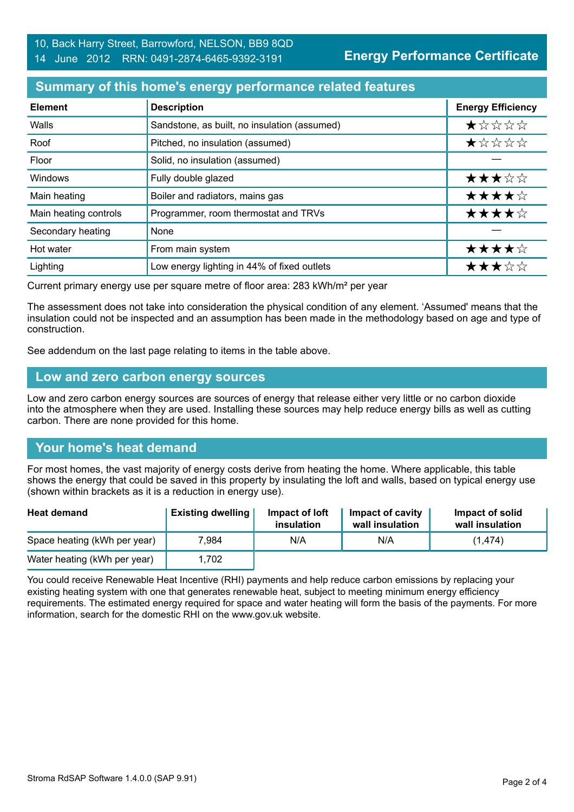### **Summary of this home's energy performance related features**

| <b>Element</b>        | <b>Description</b>                           | <b>Energy Efficiency</b> |
|-----------------------|----------------------------------------------|--------------------------|
| Walls                 | Sandstone, as built, no insulation (assumed) | $\star$ * * * *          |
| Roof                  | Pitched, no insulation (assumed)             | *****                    |
| Floor                 | Solid, no insulation (assumed)               |                          |
| Windows               | Fully double glazed                          | ★★★☆☆                    |
| Main heating          | Boiler and radiators, mains gas              | ★★★★☆                    |
| Main heating controls | Programmer, room thermostat and TRVs         | ★★★★☆                    |
| Secondary heating     | None                                         |                          |
| Hot water             | From main system                             | ★★★★☆                    |
| Lighting              | Low energy lighting in 44% of fixed outlets  | ★★★☆☆                    |

Current primary energy use per square metre of floor area: 283 kWh/m² per year

The assessment does not take into consideration the physical condition of any element. 'Assumed' means that the insulation could not be inspected and an assumption has been made in the methodology based on age and type of construction.

See addendum on the last page relating to items in the table above.

#### **Low and zero carbon energy sources**

Low and zero carbon energy sources are sources of energy that release either very little or no carbon dioxide into the atmosphere when they are used. Installing these sources may help reduce energy bills as well as cutting carbon. There are none provided for this home.

# **Your home's heat demand**

For most homes, the vast majority of energy costs derive from heating the home. Where applicable, this table shows the energy that could be saved in this property by insulating the loft and walls, based on typical energy use (shown within brackets as it is a reduction in energy use).

| <b>Heat demand</b>           | <b>Existing dwelling</b> | Impact of loft<br>insulation | <b>Impact of cavity</b><br>wall insulation | Impact of solid<br>wall insulation |
|------------------------------|--------------------------|------------------------------|--------------------------------------------|------------------------------------|
| Space heating (kWh per year) | 7.984                    | N/A                          | N/A                                        | (1, 474)                           |
| Water heating (kWh per year) | 1,702                    |                              |                                            |                                    |

You could receive Renewable Heat Incentive (RHI) payments and help reduce carbon emissions by replacing your existing heating system with one that generates renewable heat, subject to meeting minimum energy efficiency requirements. The estimated energy required for space and water heating will form the basis of the payments. For more information, search for the domestic RHI on the www.gov.uk website.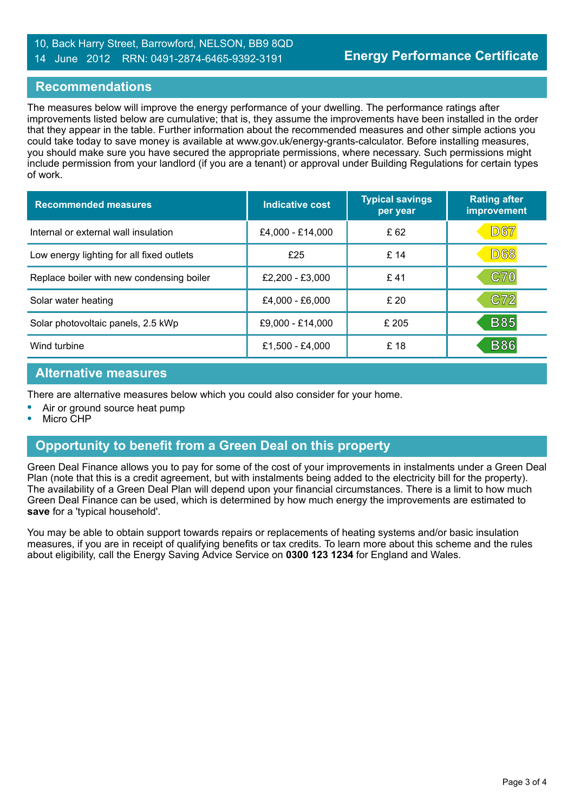#### 10, Back Harry Street, Barrowford, NELSON, BB9 8QD 14 June 2012 RRN: 0491-2874-6465-9392-3191

#### **Recommendations**

The measures below will improve the energy performance of your dwelling. The performance ratings after improvements listed below are cumulative; that is, they assume the improvements have been installed in the order that they appear in the table. Further information about the recommended measures and other simple actions you could take today to save money is available at www.gov.uk/energy-grants-calculator. Before installing measures, you should make sure you have secured the appropriate permissions, where necessary. Such permissions might include permission from your landlord (if you are a tenant) or approval under Building Regulations for certain types of work.

| <b>Recommended measures</b>               | Indicative cost  | <b>Typical savings</b><br>per year | <b>Rating after</b><br>improvement |
|-------------------------------------------|------------------|------------------------------------|------------------------------------|
| Internal or external wall insulation      | £4,000 - £14,000 | £ 62                               | <b>D67</b>                         |
| Low energy lighting for all fixed outlets | £25              | £14                                | <b>D68</b>                         |
| Replace boiler with new condensing boiler | £2,200 - £3,000  | £41                                | <b>C70</b>                         |
| Solar water heating                       | £4,000 - £6,000  | £20                                | C72                                |
| Solar photovoltaic panels, 2.5 kWp        | £9,000 - £14,000 | £205                               | <b>B85</b>                         |
| Wind turbine                              | £1,500 - £4,000  | £ 18                               | <b>B86</b>                         |

#### **Alternative measures**

There are alternative measures below which you could also consider for your home.

- **•** Air or ground source heat pump
- **•** Micro CHP

#### **Opportunity to benefit from a Green Deal on this property**

Green Deal Finance allows you to pay for some of the cost of your improvements in instalments under a Green Deal Plan (note that this is a credit agreement, but with instalments being added to the electricity bill for the property). The availability of a Green Deal Plan will depend upon your financial circumstances. There is a limit to how much Green Deal Finance can be used, which is determined by how much energy the improvements are estimated to **save** for a 'typical household'.

You may be able to obtain support towards repairs or replacements of heating systems and/or basic insulation measures, if you are in receipt of qualifying benefits or tax credits. To learn more about this scheme and the rules about eligibility, call the Energy Saving Advice Service on **0300 123 1234** for England and Wales.